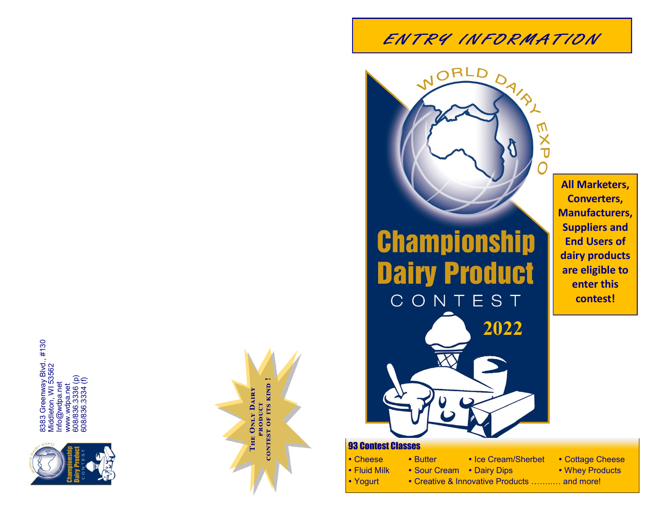

8383 Greenway Blvd., #130<br>Middleton, WI 53562<br>Info@wdpa.net<br>www.wdpa.net<br>608/836.3336 (p)<br>608/836.3334 (f) 8383 Greenway Blvd., #130 Middleton, WI 53562 608/836.3336 (p) 608/836.3334 (f) Info@wdpa.net www.wdpa.net



## ENTRY INFORMATION

**Championship Dairy Product** CONTEST

NORLD

**All Marketers, Converters, Manufacturers, Suppliers and End Users of dairy products are eligible to enter this contest!**

## 93 Contest Classes

- Cheese Butter
- Fluid Milk
- Yogurt
- Sour Cream Dairy Dips

**2022**

- Ice Cream/Sherbet • Cottage Cheese • Whey Products
	-
- Creative & Innovative Products ……..… and more!